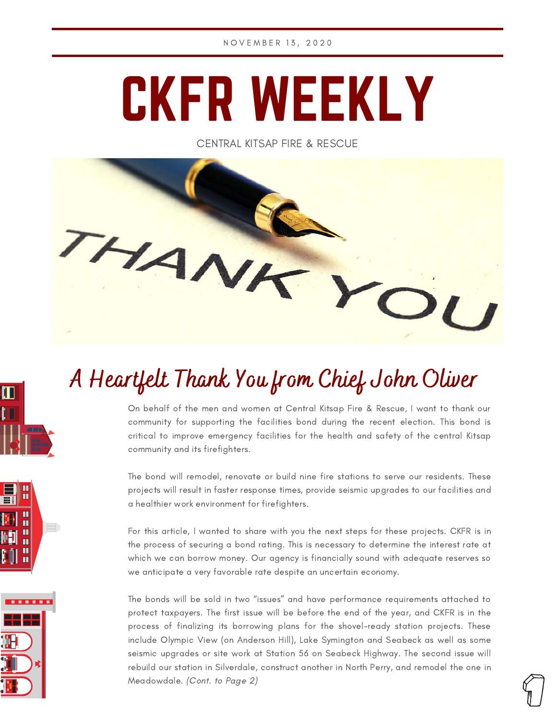# CKFR WEEKLY

CENTRAL KITSAP FIRE & RESCUE



# A Heartfelt Thank You from Chief John Oliver

 $\boldsymbol{\Pi}$ 

ÎП

u<br>U  $\frac{11}{11}$ 

......

On behalf of the men and women at Central Kitsap Fire & Rescue, I want to thank our community for supporting the facilities bond during the recent election. This bond is critical to improve emergency facilities for the health and safety of the central Kitsap community and its firefighters.

The bond will remodel, renovate or build nine fire stations to serve our residents. These projects will result in faster response times, provide seismic upgrades to our facilities and a healthier work environment for firefighters.

For this article, I wanted to share with you the next steps for these projects. CKFR is in the process of securing a bond rating. This is necessary to determine the interest rate at which we can borrow money. Our agency is financially sound with adequate reserves so we anticipate a very favorable rate despite an uncertain economy.

The bonds will be sold in two "issues" and have performance requirements attached to protect taxpayers. The first issue will be before the end of the year, and CKFR is in the process of finalizing its borrowing plans for the shovel-ready station projects. These include Olympic View (on Anderson Hill), Lake Symington and Seabeck as well as some seismic upgrades or site work at Station 56 on Seabeck Highway. The second issue will rebuild our station in Silverdale, construct another in North Perry, and remodel the one in Meadowdale. (Cont. to Page 2)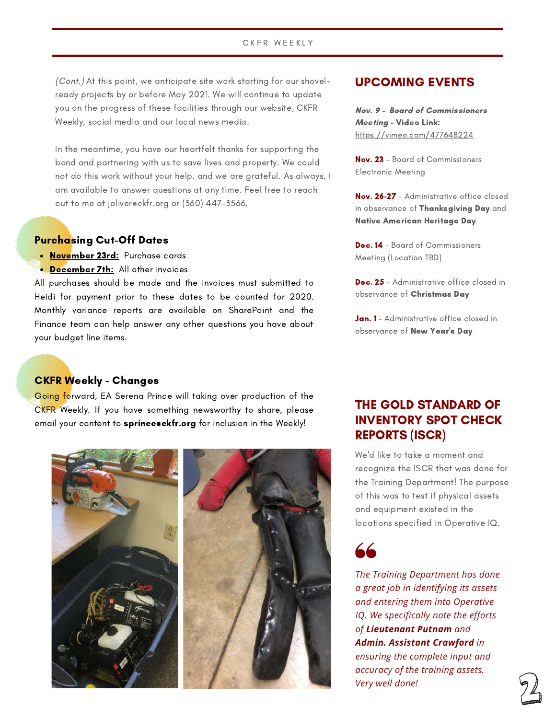## C K F R W E E K L Y

(Cont.) At this point, we anticipate site work starting for our shovelready projects by or before May 2021. We will continue to update you on the progress of these facilities through our website, CKFR Weekly, social media and our local news media.

In the meantime, you have our heartfelt thanks for supporting the bond and partnering with us to save lives and property. We could not do this work without your help, and we are grateful. As always, I am available to answer questions at any time. Feel free to reach out to me at joliver@ckfr.org or (360) 447-3566.

### Purchasing Cut-Off Dates

- November 23rd: Purchase cards
- December 7th: All other invoices

All purchases should be made and the invoices must submitted to Heidi for payment prior to these dates to be counted for 2020. Monthly variance reports are available on SharePoint and the Finance team can help answer any other questions you have about your budget line items.

# CKFR Weekly - Changes

Going forward, EA Serena Prince will taking over production of the CKFR Weekly. If you have something newsworthy to share, please email your content to **sprince@ckfr.org** for inclusion in the Weekly!



# UPCOMING EVENTS

Nov. 9 - Board of Commissioners Meeting - Video Link: <https://vimeo.com/477648224>

Nov. 23 - Board of Commissioners Electronic Meeting

Nov. 26-27 - Administrative office closed in observance of Thanksgiving Day and Native American Heritage Day

Dec. 14 - Board of Commissioners Meeting (Location TBD)

Dec. 25 - Administrative office closed in observance of Christmas Day

Jan. 1 - Administrative office closed in observance of New Year's Day

# THE GOLD STANDARD OF INVENTORY SPOT CHECK REPORTS (ISCR)

We'd like to take a moment and recognize the ISCR that was done for the Training Department! The purpose of this was to test if physical assets and equipment existed in the locations specified in Operative IQ.



*The Training Department has done a great job in identifying its assets and entering them into Operative IQ. We specifically note the efforts of Lieutenant Putnam and Admin. Assistant Crawford in ensuring the complete input and accuracy of the training assets. Very well done!*